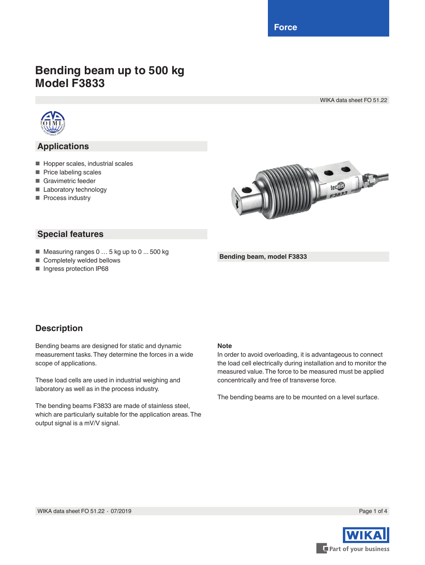**Force**

# **Bending beam up to 500 kg Model F3833**

WIKA data sheet FO 51.22



## **Applications**

- Hopper scales, industrial scales
- Price labeling scales
- Gravimetric feeder
- Laboratory technology
- Process industry



### **Special features**

- Measuring ranges 0 ... 5 kg up to 0 ... 500 kg
- Completely welded bellows
- Ingress protection IP68

#### **Bending beam, model F3833**

### **Description**

Bending beams are designed for static and dynamic measurement tasks. They determine the forces in a wide scope of applications.

These load cells are used in industrial weighing and laboratory as well as in the process industry.

The bending beams F3833 are made of stainless steel, which are particularly suitable for the application areas. The output signal is a mV/V signal.

#### **Note**

In order to avoid overloading, it is advantageous to connect the load cell electrically during installation and to monitor the measured value. The force to be measured must be applied concentrically and free of transverse force.

The bending beams are to be mounted on a level surface.

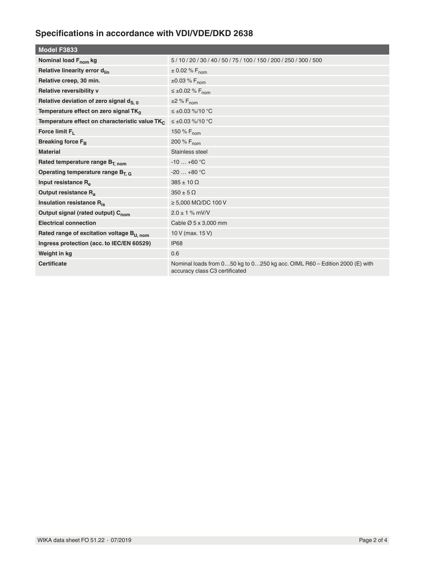# **Specifications in accordance with VDI/VDE/DKD 2638**

| 5/10/20/30/40/50/75/100/150/200/250/300/500                                                                  |
|--------------------------------------------------------------------------------------------------------------|
| $\pm$ 0.02 % F <sub>nom</sub>                                                                                |
| $±0.03\% F_{nom}$                                                                                            |
| $\leq \pm 0.02$ % F <sub>nom</sub>                                                                           |
| $\pm 2\%$ F <sub>nom</sub>                                                                                   |
| $\leq \pm 0.03$ %/10 °C                                                                                      |
| $\leq \pm 0.03$ %/10 °C                                                                                      |
| 150 % F <sub>nom</sub>                                                                                       |
| 200 % F <sub>nom</sub>                                                                                       |
| Stainless steel                                                                                              |
| $-10+60$ °C                                                                                                  |
| $-20+80$ °C                                                                                                  |
| $385 \pm 10 \Omega$                                                                                          |
| $350 \pm 5 \Omega$                                                                                           |
| $\geq 5,000$ MQ/DC 100 V                                                                                     |
| $2.0 \pm 1 \%$ mV/V                                                                                          |
| Cable $\varnothing$ 5 x 3,000 mm                                                                             |
| 10 V (max. 15 V)                                                                                             |
| <b>IP68</b>                                                                                                  |
| 0.6                                                                                                          |
| Nominal loads from 050 kg to 0250 kg acc. OIML R60 - Edition 2000 (E) with<br>accuracy class C3 certificated |
|                                                                                                              |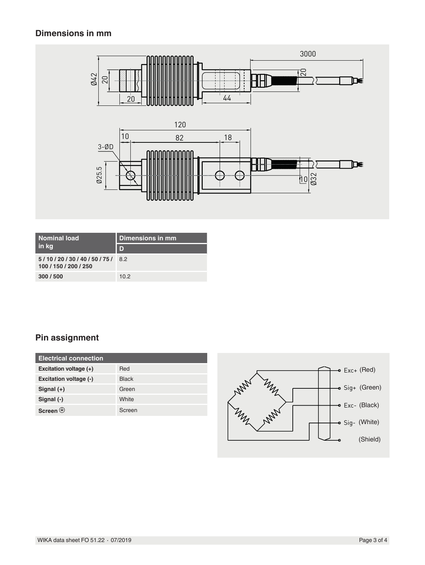# **Dimensions in mm**



| <b>Nominal load</b><br>in kg                     | Dimensions in mm |
|--------------------------------------------------|------------------|
|                                                  | D                |
| 5/10/20/30/40/50/75/8.2<br>100 / 150 / 200 / 250 |                  |
| 300/500                                          | 10.2             |

# **Pin assignment**

| <b>Electrical connection</b> |              |
|------------------------------|--------------|
| Excitation voltage $(+)$     | Red          |
| Excitation voltage (-)       | <b>Black</b> |
| Signal $(+)$                 | Green        |
| Signal (-)                   | White        |
| Screen $\circledast$         | Screen       |